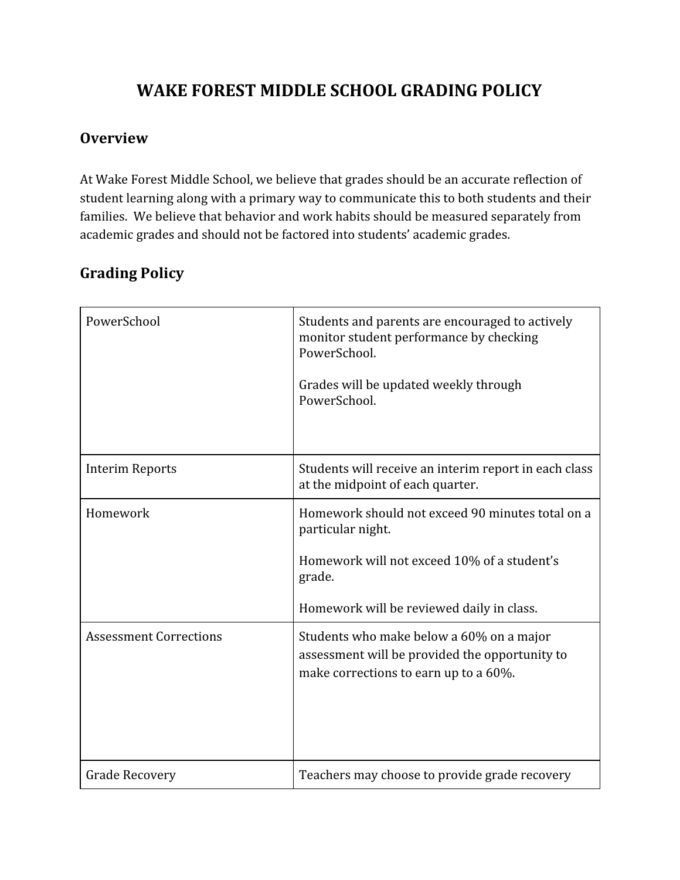## **WAKE FOREST MIDDLE SCHOOL GRADING POLICY**

## **Overview**

At Wake Forest Middle School, we believe that grades should be an accurate reflection of student learning along with a primary way to communicate this to both students and their families. We believe that behavior and work habits should be measured separately from academic grades and should not be factored into students' academic grades.

| PowerSchool                   | Students and parents are encouraged to actively<br>monitor student performance by checking<br>PowerSchool.<br>Grades will be updated weekly through<br>PowerSchool. |
|-------------------------------|---------------------------------------------------------------------------------------------------------------------------------------------------------------------|
|                               |                                                                                                                                                                     |
| <b>Interim Reports</b>        | Students will receive an interim report in each class<br>at the midpoint of each quarter.                                                                           |
| Homework                      | Homework should not exceed 90 minutes total on a<br>particular night.                                                                                               |
|                               | Homework will not exceed 10% of a student's<br>grade.                                                                                                               |
|                               | Homework will be reviewed daily in class.                                                                                                                           |
| <b>Assessment Corrections</b> | Students who make below a 60% on a major<br>assessment will be provided the opportunity to<br>make corrections to earn up to a 60%.                                 |
| <b>Grade Recovery</b>         | Teachers may choose to provide grade recovery                                                                                                                       |

## **Grading Policy**